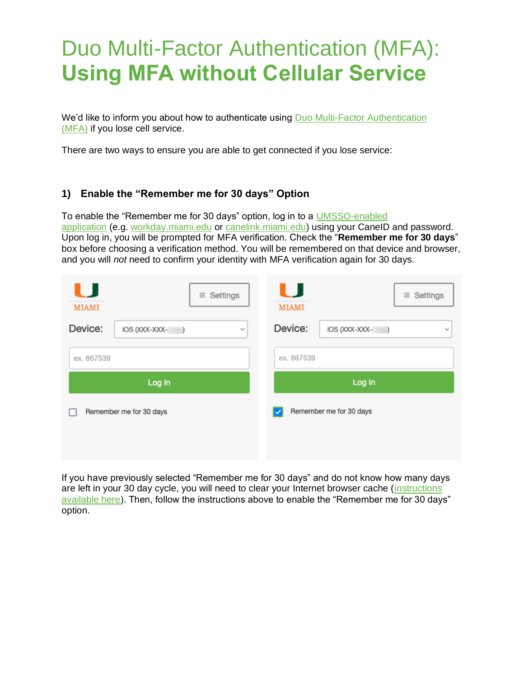## Duo Multi-Factor Authentication (MFA): **Using MFA without Cellular Service**

We'd like to inform you about how to authenticate using Duo Multi-Factor Authentication [\(MFA\)](http://miami.edu/multifactor) if you lose cell service.

There are two ways to ensure you are able to get connected if you lose service:

## **1) Enable the "Remember me for 30 days" Option**

To enable the "Remember me for 30 days" option, log in to a [UMSSO-enabled](http://it.miami.edu/wda/it/Duo_MFA_UMSSO.pdf)  [application](http://it.miami.edu/wda/it/Duo_MFA_UMSSO.pdf) (e.g. [workday.miami.edu](https://workday.miami.edu/) or [canelink.miami.edu\)](https://canelink.miami.edu/) using your CaneID and password. Upon log in, you will be prompted for MFA verification. Check the "**Remember me for 30 days**" box before choosing a verification method. You will be remembered on that device and browser, and you will *not* need to confirm your identity with MFA verification again for 30 days.

| $\equiv$ Settings<br><b>MIAMI</b><br>Device:<br>IOS (XXX-XXX-<br>$\mathbf{v}$ | U<br>Settings<br>$\equiv$<br><b>MIAMI</b><br>Device:<br>IOS (XXX-XXX-<br>$\sim$ |  |  |
|-------------------------------------------------------------------------------|---------------------------------------------------------------------------------|--|--|
| ex. 867539                                                                    | ex. 867539                                                                      |  |  |
| Log In                                                                        | Log In                                                                          |  |  |
| Remember me for 30 days                                                       | Remember me for 30 days                                                         |  |  |

If you have previously selected "Remember me for 30 days" and do not know how many days are left in your 30 day cycle, you will need to clear your Internet browser cache (instructions [available here\)](https://www.it.miami.edu/wda/it/o365_ClearBrowserCache.pdf). Then, follow the instructions above to enable the "Remember me for 30 days" option.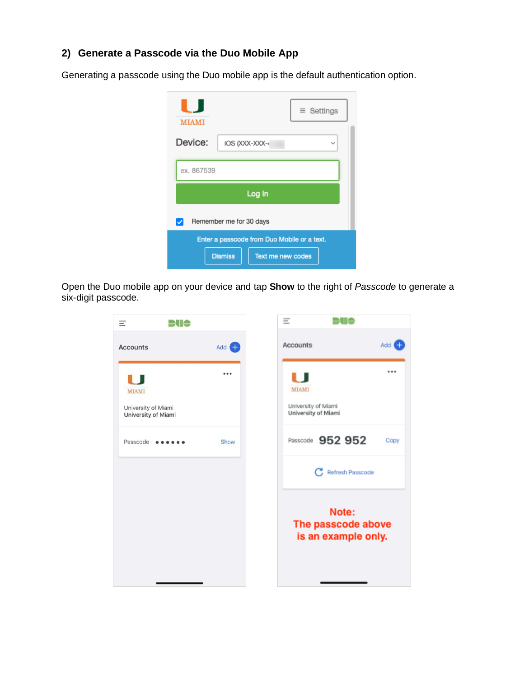## **2) Generate a Passcode via the Duo Mobile App**

Generating a passcode using the Duo mobile app is the default authentication option.

| <b>MIAMI</b>                                |                                            | $\equiv$ Settings |  |
|---------------------------------------------|--------------------------------------------|-------------------|--|
| Device:                                     | IOS (XXX-XXX-                              |                   |  |
| ex. 867539                                  |                                            |                   |  |
| Log In                                      |                                            |                   |  |
| Remember me for 30 days                     |                                            |                   |  |
| Enter a passcode from Duo Mobile or a text. |                                            |                   |  |
|                                             | <b>Dismiss</b><br><b>Text me new codes</b> |                   |  |

Open the Duo mobile app on your device and tap **Show** to the right of *Passcode* to generate a six-digit passcode.

| DUO                                                        |                 | Ξ            | ∋u¢                                                |
|------------------------------------------------------------|-----------------|--------------|----------------------------------------------------|
| <b>Accounts</b>                                            | Add $\bigoplus$ | Accounts     |                                                    |
| U                                                          |                 | . .          |                                                    |
| <b>MIAMI</b><br>University of Miami<br>University of Miami |                 | <b>MIAMI</b> | University of Miami<br>University of Miami         |
| Passcode                                                   | Show            |              | Passcode 952 952                                   |
|                                                            |                 |              | <b>C</b> Refresh Passcode                          |
|                                                            |                 |              | Note:<br>The passcode above<br>is an example only. |